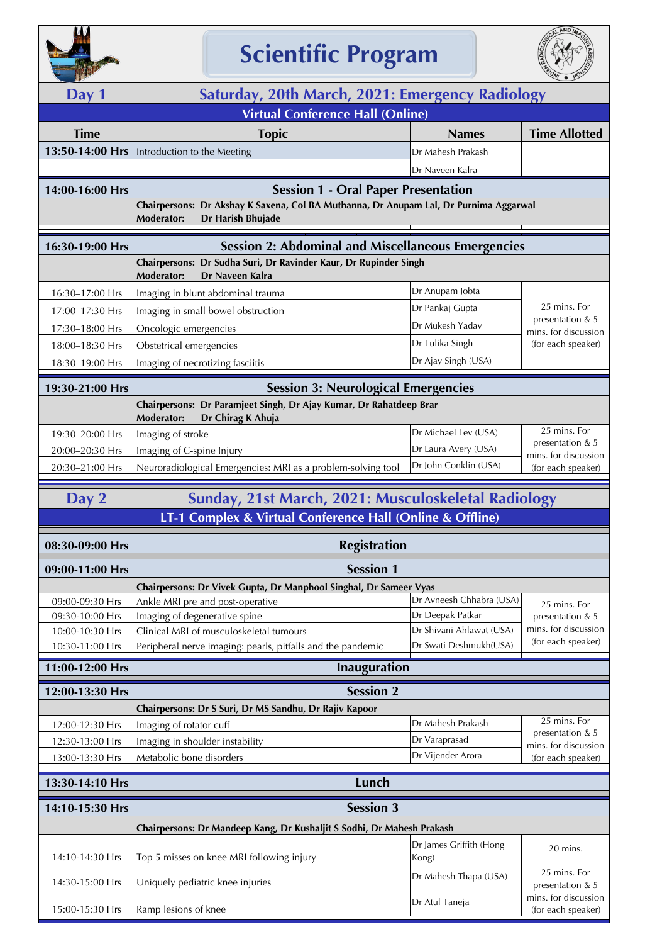

## **Scientific Program**



| <b>The Second Second</b>                |                                                                                                                  |                                              | <b>UNI OND</b>                             |  |
|-----------------------------------------|------------------------------------------------------------------------------------------------------------------|----------------------------------------------|--------------------------------------------|--|
| Day 1                                   | Saturday, 20th March, 2021: Emergency Radiology                                                                  |                                              |                                            |  |
| <b>Virtual Conference Hall (Online)</b> |                                                                                                                  |                                              |                                            |  |
| <b>Time</b>                             | <b>Topic</b>                                                                                                     | <b>Names</b>                                 | <b>Time Allotted</b>                       |  |
| 13:50-14:00 Hrs                         | Introduction to the Meeting                                                                                      | Dr Mahesh Prakash                            |                                            |  |
|                                         |                                                                                                                  | Dr Naveen Kalra                              |                                            |  |
| 14:00-16:00 Hrs                         | <b>Session 1 - Oral Paper Presentation</b>                                                                       |                                              |                                            |  |
|                                         | Chairpersons: Dr Akshay K Saxena, Col BA Muthanna, Dr Anupam Lal, Dr Purnima Aggarwal                            |                                              |                                            |  |
|                                         | Moderator:<br>Dr Harish Bhujade                                                                                  |                                              |                                            |  |
| 16:30-19:00 Hrs                         | <b>Session 2: Abdominal and Miscellaneous Emergencies</b>                                                        |                                              |                                            |  |
|                                         | Chairpersons: Dr Sudha Suri, Dr Ravinder Kaur, Dr Rupinder Singh<br>Dr Naveen Kalra<br><b>Moderator:</b>         |                                              |                                            |  |
| 16:30-17:00 Hrs                         | Imaging in blunt abdominal trauma                                                                                | Dr Anupam Jobta                              |                                            |  |
| 17:00-17:30 Hrs                         | Imaging in small bowel obstruction                                                                               | Dr Pankaj Gupta                              | 25 mins. For                               |  |
| 17:30-18:00 Hrs                         | Oncologic emergencies                                                                                            | Dr Mukesh Yadav                              | presentation & 5                           |  |
| 18:00-18:30 Hrs                         | Obstetrical emergencies                                                                                          | Dr Tulika Singh                              | mins. for discussion<br>(for each speaker) |  |
| 18:30-19:00 Hrs                         | Imaging of necrotizing fasciitis                                                                                 | Dr Ajay Singh (USA)                          |                                            |  |
|                                         |                                                                                                                  |                                              |                                            |  |
| 19:30-21:00 Hrs                         | <b>Session 3: Neurological Emergencies</b>                                                                       |                                              |                                            |  |
|                                         | Chairpersons: Dr Paramjeet Singh, Dr Ajay Kumar, Dr Rahatdeep Brar<br>Dr Chirag K Ahuja<br><b>Moderator:</b>     |                                              |                                            |  |
| 19:30-20:00 Hrs                         | Imaging of stroke                                                                                                | Dr Michael Lev (USA)                         | 25 mins. For                               |  |
| 20:00-20:30 Hrs                         | Imaging of C-spine Injury                                                                                        | Dr Laura Avery (USA)                         | presentation & 5<br>mins. for discussion   |  |
| 20:30-21:00 Hrs                         | Neuroradiological Emergencies: MRI as a problem-solving tool                                                     | Dr John Conklin (USA)                        | (for each speaker)                         |  |
|                                         |                                                                                                                  |                                              |                                            |  |
| Day 2                                   | Sunday, 21st March, 2021: Musculoskeletal Radiology<br>LT-1 Complex & Virtual Conference Hall (Online & Offline) |                                              |                                            |  |
|                                         |                                                                                                                  |                                              |                                            |  |
| 08:30-09:00 Hrs                         | <b>Registration</b>                                                                                              |                                              |                                            |  |
| 09:00-11:00 Hrs                         | <b>Session 1</b>                                                                                                 |                                              |                                            |  |
|                                         | Chairpersons: Dr Vivek Gupta, Dr Manphool Singhal, Dr Sameer Vyas                                                |                                              |                                            |  |
| 09:00-09:30 Hrs                         | Ankle MRI pre and post-operative                                                                                 | Dr Avneesh Chhabra (USA)<br>Dr Deepak Patkar | 25 mins. For                               |  |
| 09:30-10:00 Hrs<br>10:00-10:30 Hrs      | Imaging of degenerative spine<br>Clinical MRI of musculoskeletal tumours                                         | Dr Shivani Ahlawat (USA)                     | presentation & 5<br>mins. for discussion   |  |
| 10:30-11:00 Hrs                         | Peripheral nerve imaging: pearls, pitfalls and the pandemic                                                      | Dr Swati Deshmukh(USA)                       | (for each speaker)                         |  |
| 11:00-12:00 Hrs                         | <b>Inauguration</b>                                                                                              |                                              |                                            |  |
| 12:00-13:30 Hrs                         | <b>Session 2</b>                                                                                                 |                                              |                                            |  |
|                                         | Chairpersons: Dr S Suri, Dr MS Sandhu, Dr Rajiv Kapoor                                                           |                                              |                                            |  |
| 12:00-12:30 Hrs                         | Imaging of rotator cuff                                                                                          | Dr Mahesh Prakash                            | 25 mins. For                               |  |
| 12:30-13:00 Hrs                         | Imaging in shoulder instability                                                                                  | Dr Varaprasad                                | presentation & 5<br>mins. for discussion   |  |
| 13:00-13:30 Hrs                         | Metabolic bone disorders                                                                                         | Dr Vijender Arora                            | (for each speaker)                         |  |
| 13:30-14:10 Hrs                         | Lunch                                                                                                            |                                              |                                            |  |
|                                         |                                                                                                                  |                                              |                                            |  |
| 14:10-15:30 Hrs                         | <b>Session 3</b>                                                                                                 |                                              |                                            |  |
|                                         | Chairpersons: Dr Mandeep Kang, Dr Kushaljit S Sodhi, Dr Mahesh Prakash                                           |                                              |                                            |  |
| 14:10-14:30 Hrs                         | Top 5 misses on knee MRI following injury                                                                        | Dr James Griffith (Hong<br>Kong)             | 20 mins.                                   |  |
| 14:30-15:00 Hrs                         | Uniquely pediatric knee injuries                                                                                 | Dr Mahesh Thapa (USA)                        | 25 mins. For<br>presentation & 5           |  |
| 15:00-15:30 Hrs                         | Ramp lesions of knee                                                                                             | Dr Atul Taneja                               | mins. for discussion<br>(for each speaker) |  |
|                                         |                                                                                                                  |                                              |                                            |  |